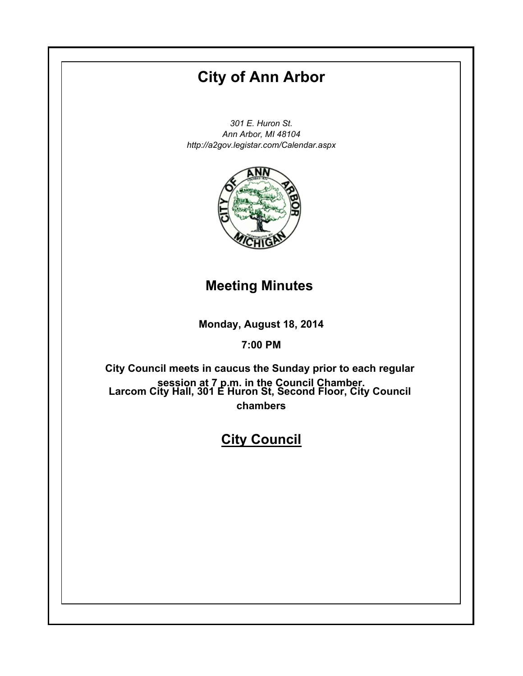# **City of Ann Arbor**

*301 E. Huron St. Ann Arbor, MI 48104 http://a2gov.legistar.com/Calendar.aspx*



## **Meeting Minutes**

**Monday, August 18, 2014**

## **7:00 PM**

**Larcom City Hall, 301 E Huron St, Second Floor, City Council chambers City Council meets in caucus the Sunday prior to each regular session at 7 p.m. in the Council Chamber.**

## **City Council**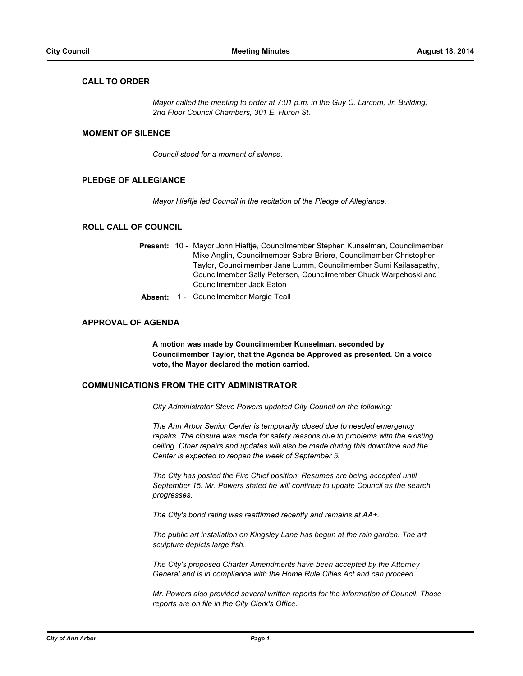## **CALL TO ORDER**

*Mayor called the meeting to order at 7:01 p.m. in the Guy C. Larcom, Jr. Building, 2nd Floor Council Chambers, 301 E. Huron St.*

## **MOMENT OF SILENCE**

*Council stood for a moment of silence.*

## **PLEDGE OF ALLEGIANCE**

*Mayor Hieftje led Council in the recitation of the Pledge of Allegiance.*

## **ROLL CALL OF COUNCIL**

|  | Present: 10 - Mayor John Hieftje, Councilmember Stephen Kunselman, Councilmember |  |  |
|--|----------------------------------------------------------------------------------|--|--|
|  | Mike Anglin, Councilmember Sabra Briere, Councilmember Christopher               |  |  |
|  | Taylor, Councilmember Jane Lumm, Councilmember Sumi Kailasapathy,                |  |  |
|  | Councilmember Sally Petersen, Councilmember Chuck Warpehoski and                 |  |  |
|  | Councilmember Jack Eaton                                                         |  |  |
|  |                                                                                  |  |  |

**Absent:** 1 - Councilmember Margie Teall

## **APPROVAL OF AGENDA**

**A motion was made by Councilmember Kunselman, seconded by Councilmember Taylor, that the Agenda be Approved as presented. On a voice vote, the Mayor declared the motion carried.**

## **COMMUNICATIONS FROM THE CITY ADMINISTRATOR**

*City Administrator Steve Powers updated City Council on the following:*

*The Ann Arbor Senior Center is temporarily closed due to needed emergency repairs. The closure was made for safety reasons due to problems with the existing ceiling. Other repairs and updates will also be made during this downtime and the Center is expected to reopen the week of September 5.*

*The City has posted the Fire Chief position. Resumes are being accepted until September 15. Mr. Powers stated he will continue to update Council as the search progresses.*

*The City's bond rating was reaffirmed recently and remains at AA+.*

*The public art installation on Kingsley Lane has begun at the rain garden. The art sculpture depicts large fish.*

*The City's proposed Charter Amendments have been accepted by the Attorney General and is in compliance with the Home Rule Cities Act and can proceed.*

*Mr. Powers also provided several written reports for the information of Council. Those reports are on file in the City Clerk's Office.*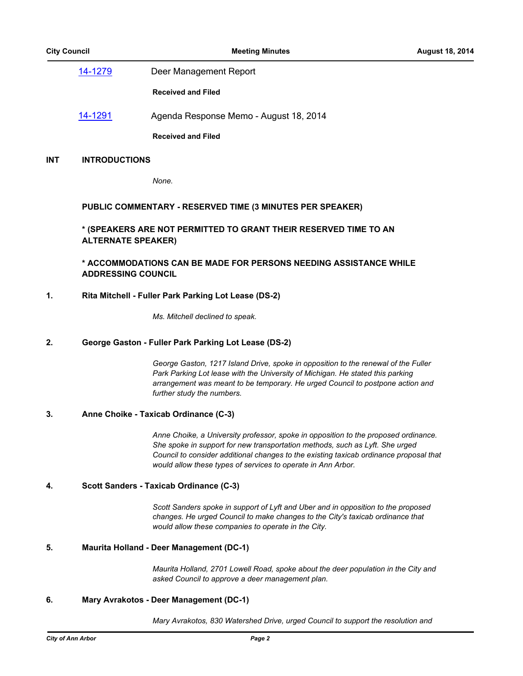[14-1279](http://a2gov.legistar.com/gateway.aspx/matter.aspx?key=12746) Deer Management Report **Received and Filed** [14-1291](http://a2gov.legistar.com/gateway.aspx/matter.aspx?key=12758) Agenda Response Memo - August 18, 2014 **Received and Filed**

## **INT INTRODUCTIONS**

*None.*

## **PUBLIC COMMENTARY - RESERVED TIME (3 MINUTES PER SPEAKER)**

**\* (SPEAKERS ARE NOT PERMITTED TO GRANT THEIR RESERVED TIME TO AN ALTERNATE SPEAKER)**

## **\* ACCOMMODATIONS CAN BE MADE FOR PERSONS NEEDING ASSISTANCE WHILE ADDRESSING COUNCIL**

## **1. Rita Mitchell - Fuller Park Parking Lot Lease (DS-2)**

*Ms. Mitchell declined to speak.*

## **2. George Gaston - Fuller Park Parking Lot Lease (DS-2)**

*George Gaston, 1217 Island Drive, spoke in opposition to the renewal of the Fuller*  Park Parking Lot lease with the University of Michigan. He stated this parking *arrangement was meant to be temporary. He urged Council to postpone action and further study the numbers.*

## **3. Anne Choike - Taxicab Ordinance (C-3)**

*Anne Choike, a University professor, spoke in opposition to the proposed ordinance. She spoke in support for new transportation methods, such as Lyft. She urged Council to consider additional changes to the existing taxicab ordinance proposal that would allow these types of services to operate in Ann Arbor.*

## **4. Scott Sanders - Taxicab Ordinance (C-3)**

*Scott Sanders spoke in support of Lyft and Uber and in opposition to the proposed changes. He urged Council to make changes to the City's taxicab ordinance that would allow these companies to operate in the City.*

## **5. Maurita Holland - Deer Management (DC-1)**

*Maurita Holland, 2701 Lowell Road, spoke about the deer population in the City and asked Council to approve a deer management plan.*

## **6. Mary Avrakotos - Deer Management (DC-1)**

*Mary Avrakotos, 830 Watershed Drive, urged Council to support the resolution and*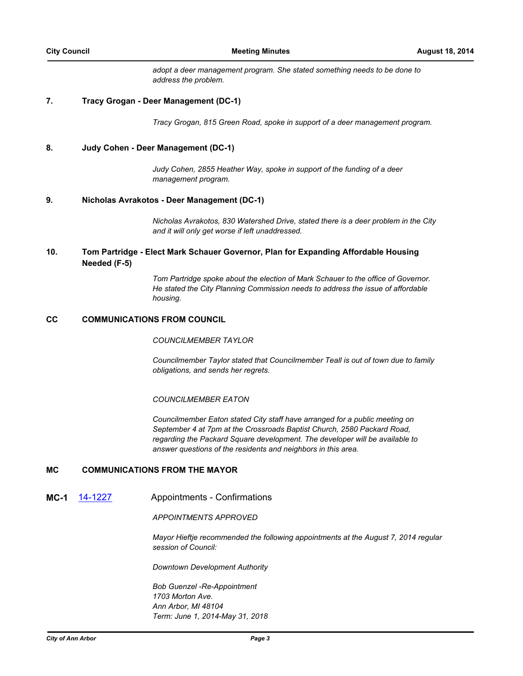*adopt a deer management program. She stated something needs to be done to address the problem.*

## **7. Tracy Grogan - Deer Management (DC-1)**

*Tracy Grogan, 815 Green Road, spoke in support of a deer management program.*

## **8. Judy Cohen - Deer Management (DC-1)**

*Judy Cohen, 2855 Heather Way, spoke in support of the funding of a deer management program.*

## **9. Nicholas Avrakotos - Deer Management (DC-1)**

*Nicholas Avrakotos, 830 Watershed Drive, stated there is a deer problem in the City and it will only get worse if left unaddressed.*

#### **Tom Partridge - Elect Mark Schauer Governor, Plan for Expanding Affordable Housing Needed (F-5) 10.**

*Tom Partridge spoke about the election of Mark Schauer to the office of Governor. He stated the City Planning Commission needs to address the issue of affordable housing.*

## **CC COMMUNICATIONS FROM COUNCIL**

## *COUNCILMEMBER TAYLOR*

*Councilmember Taylor stated that Councilmember Teall is out of town due to family obligations, and sends her regrets.*

## *COUNCILMEMBER EATON*

*Councilmember Eaton stated City staff have arranged for a public meeting on September 4 at 7pm at the Crossroads Baptist Church, 2580 Packard Road, regarding the Packard Square development. The developer will be available to answer questions of the residents and neighbors in this area.*

## **MC COMMUNICATIONS FROM THE MAYOR**

**MC-1** [14-1227](http://a2gov.legistar.com/gateway.aspx/matter.aspx?key=12704) Appointments - Confirmations

*APPOINTMENTS APPROVED*

*Mayor Hieftje recommended the following appointments at the August 7, 2014 regular session of Council:*

*Downtown Development Authority*

*Bob Guenzel -Re-Appointment 1703 Morton Ave. Ann Arbor, MI 48104 Term: June 1, 2014-May 31, 2018*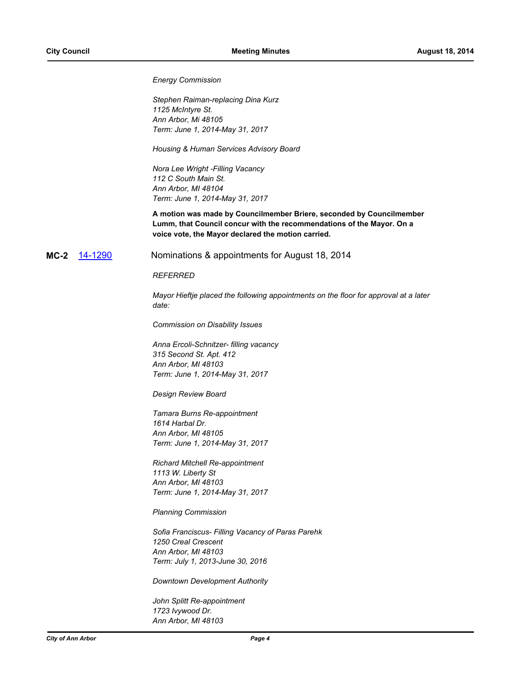*Energy Commission*

*Stephen Raiman-replacing Dina Kurz 1125 McIntyre St. Ann Arbor, Mi 48105 Term: June 1, 2014-May 31, 2017*

*Housing & Human Services Advisory Board*

*Nora Lee Wright -Filling Vacancy 112 C South Main St. Ann Arbor, MI 48104 Term: June 1, 2014-May 31, 2017*

**A motion was made by Councilmember Briere, seconded by Councilmember Lumm, that Council concur with the recommendations of the Mayor. On a voice vote, the Mayor declared the motion carried.**

**MC-2** [14-1290](http://a2gov.legistar.com/gateway.aspx/matter.aspx?key=12757) Nominations & appointments for August 18, 2014

#### *REFERRED*

*Mayor Hieftje placed the following appointments on the floor for approval at a later date:*

*Commission on Disability Issues*

*Anna Ercoli-Schnitzer- filling vacancy 315 Second St. Apt. 412 Ann Arbor, MI 48103 Term: June 1, 2014-May 31, 2017*

*Design Review Board*

*Tamara Burns Re-appointment 1614 Harbal Dr. Ann Arbor, MI 48105 Term: June 1, 2014-May 31, 2017*

*Richard Mitchell Re-appointment 1113 W. Liberty St Ann Arbor, MI 48103 Term: June 1, 2014-May 31, 2017*

*Planning Commission*

*Sofia Franciscus- Filling Vacancy of Paras Parehk 1250 Creal Crescent Ann Arbor, MI 48103 Term: July 1, 2013-June 30, 2016* 

*Downtown Development Authority*

*John Splitt Re-appointment 1723 Ivywood Dr. Ann Arbor, MI 48103*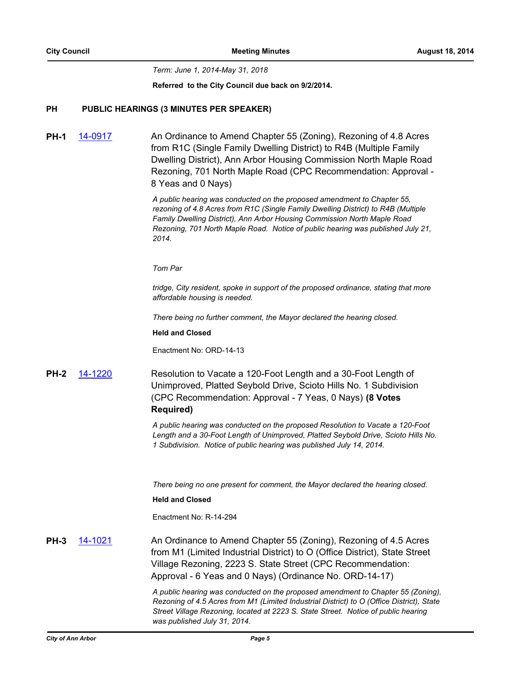*Term: June 1, 2014-May 31, 2018*

**Referred to the City Council due back on 9/2/2014.**

## **PH PUBLIC HEARINGS (3 MINUTES PER SPEAKER)**

**PH-1** [14-0917](http://a2gov.legistar.com/gateway.aspx/matter.aspx?key=12406) An Ordinance to Amend Chapter 55 (Zoning), Rezoning of 4.8 Acres from R1C (Single Family Dwelling District) to R4B (Multiple Family Dwelling District), Ann Arbor Housing Commission North Maple Road Rezoning, 701 North Maple Road (CPC Recommendation: Approval - 8 Yeas and 0 Nays)

> *A public hearing was conducted on the proposed amendment to Chapter 55, rezoning of 4.8 Acres from R1C (Single Family Dwelling District) to R4B (Multiple Family Dwelling District), Ann Arbor Housing Commission North Maple Road Rezoning, 701 North Maple Road. Notice of public hearing was published July 21, 2014.*

#### *Tom Par*

*tridge, City resident, spoke in support of the proposed ordinance, stating that more affordable housing is needed.* 

*There being no further comment, the Mayor declared the hearing closed.*

## **Held and Closed**

Enactment No: ORD-14-13

**PH-2** [14-1220](http://a2gov.legistar.com/gateway.aspx/matter.aspx?key=12697) Resolution to Vacate a 120-Foot Length and a 30-Foot Length of Unimproved, Platted Seybold Drive, Scioto Hills No. 1 Subdivision (CPC Recommendation: Approval - 7 Yeas, 0 Nays) **(8 Votes Required)**

> *A public hearing was conducted on the proposed Resolution to Vacate a 120-Foot Length and a 30-Foot Length of Unimproved, Platted Seybold Drive, Scioto Hills No. 1 Subdivision. Notice of public hearing was published July 14, 2014.*

*There being no one present for comment, the Mayor declared the hearing closed.*

#### **Held and Closed**

Enactment No: R-14-294

**PH-3** [14-1021](http://a2gov.legistar.com/gateway.aspx/matter.aspx?key=12509) An Ordinance to Amend Chapter 55 (Zoning), Rezoning of 4.5 Acres from M1 (Limited Industrial District) to O (Office District), State Street Village Rezoning, 2223 S. State Street (CPC Recommendation: Approval - 6 Yeas and 0 Nays) (Ordinance No. ORD-14-17)

> *A public hearing was conducted on the proposed amendment to Chapter 55 (Zoning), Rezoning of 4.5 Acres from M1 (Limited Industrial District) to O (Office District), State Street Village Rezoning, located at 2223 S. State Street. Notice of public hearing was published July 31, 2014.*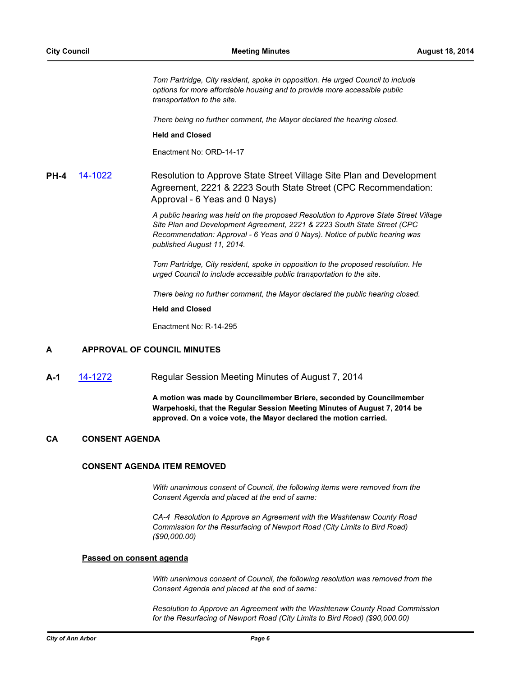*Tom Partridge, City resident, spoke in opposition. He urged Council to include options for more affordable housing and to provide more accessible public transportation to the site.*

*There being no further comment, the Mayor declared the hearing closed.*

#### **Held and Closed**

Enactment No: ORD-14-17

**PH-4** [14-1022](http://a2gov.legistar.com/gateway.aspx/matter.aspx?key=12510) Resolution to Approve State Street Village Site Plan and Development Agreement, 2221 & 2223 South State Street (CPC Recommendation: Approval - 6 Yeas and 0 Nays)

> *A public hearing was held on the proposed Resolution to Approve State Street Village Site Plan and Development Agreement, 2221 & 2223 South State Street (CPC Recommendation: Approval - 6 Yeas and 0 Nays). Notice of public hearing was published August 11, 2014.*

*Tom Partridge, City resident, spoke in opposition to the proposed resolution. He urged Council to include accessible public transportation to the site.*

*There being no further comment, the Mayor declared the public hearing closed.*

**Held and Closed**

Enactment No: R-14-295

## **A APPROVAL OF COUNCIL MINUTES**

**A-1** [14-1272](http://a2gov.legistar.com/gateway.aspx/matter.aspx?key=12739) Regular Session Meeting Minutes of August 7, 2014

**A motion was made by Councilmember Briere, seconded by Councilmember Warpehoski, that the Regular Session Meeting Minutes of August 7, 2014 be approved. On a voice vote, the Mayor declared the motion carried.**

## **CA CONSENT AGENDA**

### **CONSENT AGENDA ITEM REMOVED**

*With unanimous consent of Council, the following items were removed from the Consent Agenda and placed at the end of same:*

*CA-4 Resolution to Approve an Agreement with the Washtenaw County Road Commission for the Resurfacing of Newport Road (City Limits to Bird Road) (\$90,000.00)*

#### **Passed on consent agenda**

*With unanimous consent of Council, the following resolution was removed from the Consent Agenda and placed at the end of same:*

*Resolution to Approve an Agreement with the Washtenaw County Road Commission for the Resurfacing of Newport Road (City Limits to Bird Road) (\$90,000.00)*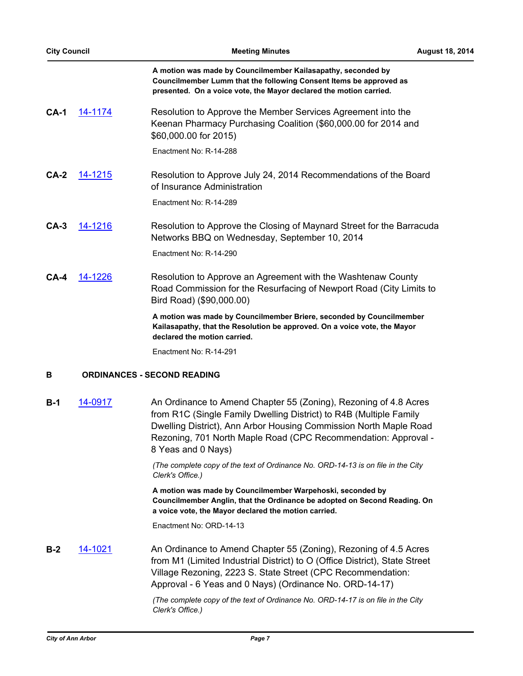| <b>City Council</b> |                | <b>Meeting Minutes</b>                                                                                                                                                                                   | <b>August 18, 2014</b> |
|---------------------|----------------|----------------------------------------------------------------------------------------------------------------------------------------------------------------------------------------------------------|------------------------|
|                     |                | A motion was made by Councilmember Kailasapathy, seconded by<br>Councilmember Lumm that the following Consent Items be approved as<br>presented. On a voice vote, the Mayor declared the motion carried. |                        |
| $CA-1$              | <u>14-1174</u> | Resolution to Approve the Member Services Agreement into the<br>Keenan Pharmacy Purchasing Coalition (\$60,000.00 for 2014 and<br>\$60,000.00 for 2015)                                                  |                        |
|                     |                | Enactment No: R-14-288                                                                                                                                                                                   |                        |
| $CA-2$              | 14-1215        | Resolution to Approve July 24, 2014 Recommendations of the Board<br>of Insurance Administration                                                                                                          |                        |
|                     |                | Enactment No: R-14-289                                                                                                                                                                                   |                        |
| $CA-3$              | 14-1216        | Resolution to Approve the Closing of Maynard Street for the Barracuda<br>Networks BBQ on Wednesday, September 10, 2014                                                                                   |                        |
|                     |                | Enactment No: R-14-290                                                                                                                                                                                   |                        |
| $CA-4$              | 14-1226        | Resolution to Approve an Agreement with the Washtenaw County<br>Road Commission for the Resurfacing of Newport Road (City Limits to<br>Bird Road) (\$90,000.00)                                          |                        |
|                     |                | A motion was made by Councilmember Briere, seconded by Councilmember<br>Kailasapathy, that the Resolution be approved. On a voice vote, the Mayor<br>declared the motion carried.                        |                        |
|                     |                | Enactment No: R-14-291                                                                                                                                                                                   |                        |
| В                   |                | <b>ORDINANCES - SECOND READING</b>                                                                                                                                                                       |                        |

**B-1** [14-0917](http://a2gov.legistar.com/gateway.aspx/matter.aspx?key=12406) An Ordinance to Amend Chapter 55 (Zoning), Rezoning of 4.8 Acres from R1C (Single Family Dwelling District) to R4B (Multiple Family Dwelling District), Ann Arbor Housing Commission North Maple Road Rezoning, 701 North Maple Road (CPC Recommendation: Approval - 8 Yeas and 0 Nays)

> *(The complete copy of the text of Ordinance No. ORD-14-13 is on file in the City Clerk's Office.)*

**A motion was made by Councilmember Warpehoski, seconded by Councilmember Anglin, that the Ordinance be adopted on Second Reading. On a voice vote, the Mayor declared the motion carried.**

Enactment No: ORD-14-13

**B-2** [14-1021](http://a2gov.legistar.com/gateway.aspx/matter.aspx?key=12509) An Ordinance to Amend Chapter 55 (Zoning), Rezoning of 4.5 Acres from M1 (Limited Industrial District) to O (Office District), State Street Village Rezoning, 2223 S. State Street (CPC Recommendation: Approval - 6 Yeas and 0 Nays) (Ordinance No. ORD-14-17)

> *(The complete copy of the text of Ordinance No. ORD-14-17 is on file in the City Clerk's Office.)*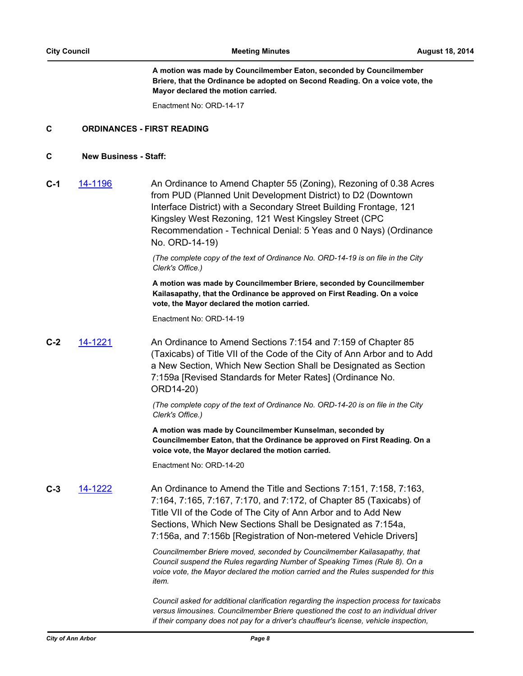**A motion was made by Councilmember Eaton, seconded by Councilmember Briere, that the Ordinance be adopted on Second Reading. On a voice vote, the Mayor declared the motion carried.**

Enactment No: ORD-14-17

## **C ORDINANCES - FIRST READING**

## **C New Business - Staff:**

**C-1** [14-1196](http://a2gov.legistar.com/gateway.aspx/matter.aspx?key=12673) An Ordinance to Amend Chapter 55 (Zoning), Rezoning of 0.38 Acres from PUD (Planned Unit Development District) to D2 (Downtown Interface District) with a Secondary Street Building Frontage, 121 Kingsley West Rezoning, 121 West Kingsley Street (CPC Recommendation - Technical Denial: 5 Yeas and 0 Nays) (Ordinance No. ORD-14-19)

> *(The complete copy of the text of Ordinance No. ORD-14-19 is on file in the City Clerk's Office.)*

> **A motion was made by Councilmember Briere, seconded by Councilmember Kailasapathy, that the Ordinance be approved on First Reading. On a voice vote, the Mayor declared the motion carried.**

Enactment No: ORD-14-19

**C-2** [14-1221](http://a2gov.legistar.com/gateway.aspx/matter.aspx?key=12698) An Ordinance to Amend Sections 7:154 and 7:159 of Chapter 85 (Taxicabs) of Title VII of the Code of the City of Ann Arbor and to Add a New Section, Which New Section Shall be Designated as Section 7:159a [Revised Standards for Meter Rates] (Ordinance No. ORD14-20)

> *(The complete copy of the text of Ordinance No. ORD-14-20 is on file in the City Clerk's Office.)*

**A motion was made by Councilmember Kunselman, seconded by Councilmember Eaton, that the Ordinance be approved on First Reading. On a voice vote, the Mayor declared the motion carried.**

Enactment No: ORD-14-20

**C-3** [14-1222](http://a2gov.legistar.com/gateway.aspx/matter.aspx?key=12699) An Ordinance to Amend the Title and Sections 7:151, 7:158, 7:163, 7:164, 7:165, 7:167, 7:170, and 7:172, of Chapter 85 (Taxicabs) of Title VII of the Code of The City of Ann Arbor and to Add New Sections, Which New Sections Shall be Designated as 7:154a, 7:156a, and 7:156b [Registration of Non-metered Vehicle Drivers]

> *Councilmember Briere moved, seconded by Councilmember Kailasapathy, that Council suspend the Rules regarding Number of Speaking Times (Rule 8). On a voice vote, the Mayor declared the motion carried and the Rules suspended for this item.*

*Council asked for additional clarification regarding the inspection process for taxicabs versus limousines. Councilmember Briere questioned the cost to an individual driver if their company does not pay for a driver's chauffeur's license, vehicle inspection,*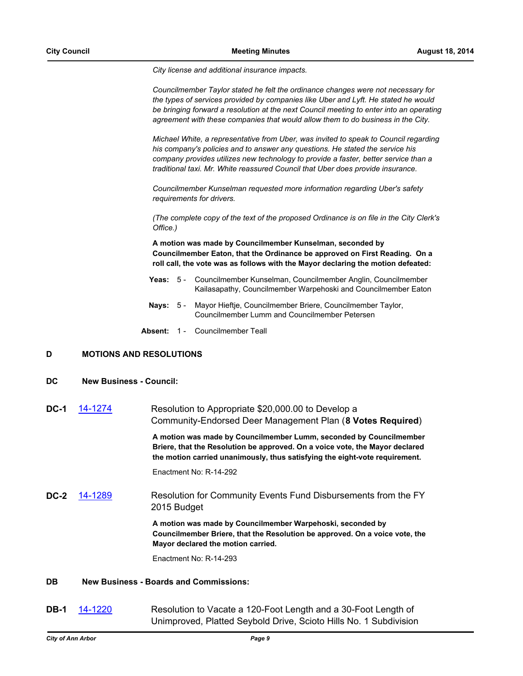*City license and additional insurance impacts.*

*Councilmember Taylor stated he felt the ordinance changes were not necessary for the types of services provided by companies like Uber and Lyft. He stated he would be bringing forward a resolution at the next Council meeting to enter into an operating agreement with these companies that would allow them to do business in the City.*

*Michael White, a representative from Uber, was invited to speak to Council regarding his company's policies and to answer any questions. He stated the service his company provides utilizes new technology to provide a faster, better service than a traditional taxi. Mr. White reassured Council that Uber does provide insurance.*

*Councilmember Kunselman requested more information regarding Uber's safety requirements for drivers.*

*(The complete copy of the text of the proposed Ordinance is on file in the City Clerk's Office.)*

**A motion was made by Councilmember Kunselman, seconded by Councilmember Eaton, that the Ordinance be approved on First Reading. On a roll call, the vote was as follows with the Mayor declaring the motion defeated:**

- **Yeas:** Councilmember Kunselman, Councilmember Anglin, Councilmember Kailasapathy, Councilmember Warpehoski and Councilmember Eaton Yeas:  $5 -$
- **Nays:** Mayor Hieftje, Councilmember Briere, Councilmember Taylor, Councilmember Lumm and Councilmember Petersen Nays:  $5 -$
- **Absent:** 1 Councilmember Teall

## **D MOTIONS AND RESOLUTIONS**

- **DC New Business Council:**
- **DC-1** [14-1274](http://a2gov.legistar.com/gateway.aspx/matter.aspx?key=12741) Resolution to Appropriate \$20,000.00 to Develop a Community-Endorsed Deer Management Plan (**8 Votes Required**)

**A motion was made by Councilmember Lumm, seconded by Councilmember Briere, that the Resolution be approved. On a voice vote, the Mayor declared the motion carried unanimously, thus satisfying the eight-vote requirement.**

Enactment No: R-14-292

**DC-2** [14-1289](http://a2gov.legistar.com/gateway.aspx/matter.aspx?key=12756) Resolution for Community Events Fund Disbursements from the FY 2015 Budget

> **A motion was made by Councilmember Warpehoski, seconded by Councilmember Briere, that the Resolution be approved. On a voice vote, the Mayor declared the motion carried.**

Enactment No: R-14-293

## **DB New Business - Boards and Commissions:**

**DB-1** [14-1220](http://a2gov.legistar.com/gateway.aspx/matter.aspx?key=12697) Resolution to Vacate a 120-Foot Length and a 30-Foot Length of Unimproved, Platted Seybold Drive, Scioto Hills No. 1 Subdivision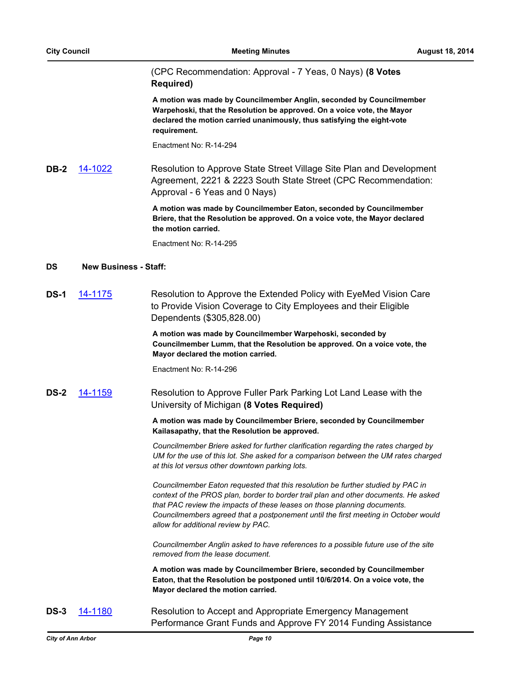(CPC Recommendation: Approval - 7 Yeas, 0 Nays) **(8 Votes Required)**

**A motion was made by Councilmember Anglin, seconded by Councilmember Warpehoski, that the Resolution be approved. On a voice vote, the Mayor declared the motion carried unanimously, thus satisfying the eight-vote requirement.**

Enactment No: R-14-294

**DB-2** [14-1022](http://a2gov.legistar.com/gateway.aspx/matter.aspx?key=12510) Resolution to Approve State Street Village Site Plan and Development Agreement, 2221 & 2223 South State Street (CPC Recommendation: Approval - 6 Yeas and 0 Nays)

> **A motion was made by Councilmember Eaton, seconded by Councilmember Briere, that the Resolution be approved. On a voice vote, the Mayor declared the motion carried.**

Enactment No: R-14-295

## **DS New Business - Staff:**

**DS-1** [14-1175](http://a2gov.legistar.com/gateway.aspx/matter.aspx?key=12652) Resolution to Approve the Extended Policy with EyeMed Vision Care to Provide Vision Coverage to City Employees and their Eligible Dependents (\$305,828.00)

> **A motion was made by Councilmember Warpehoski, seconded by Councilmember Lumm, that the Resolution be approved. On a voice vote, the Mayor declared the motion carried.**

Enactment No: R-14-296

**DS-2** [14-1159](http://a2gov.legistar.com/gateway.aspx/matter.aspx?key=12636) Resolution to Approve Fuller Park Parking Lot Land Lease with the University of Michigan **(8 Votes Required)**

> **A motion was made by Councilmember Briere, seconded by Councilmember Kailasapathy, that the Resolution be approved.**

*Councilmember Briere asked for further clarification regarding the rates charged by UM for the use of this lot. She asked for a comparison between the UM rates charged at this lot versus other downtown parking lots.*

*Councilmember Eaton requested that this resolution be further studied by PAC in context of the PROS plan, border to border trail plan and other documents. He asked that PAC review the impacts of these leases on those planning documents. Councilmembers agreed that a postponement until the first meeting in October would allow for additional review by PAC.*

*Councilmember Anglin asked to have references to a possible future use of the site removed from the lease document.*

**A motion was made by Councilmember Briere, seconded by Councilmember Eaton, that the Resolution be postponed until 10/6/2014. On a voice vote, the Mayor declared the motion carried.**

**DS-3** [14-1180](http://a2gov.legistar.com/gateway.aspx/matter.aspx?key=12657) Resolution to Accept and Appropriate Emergency Management Performance Grant Funds and Approve FY 2014 Funding Assistance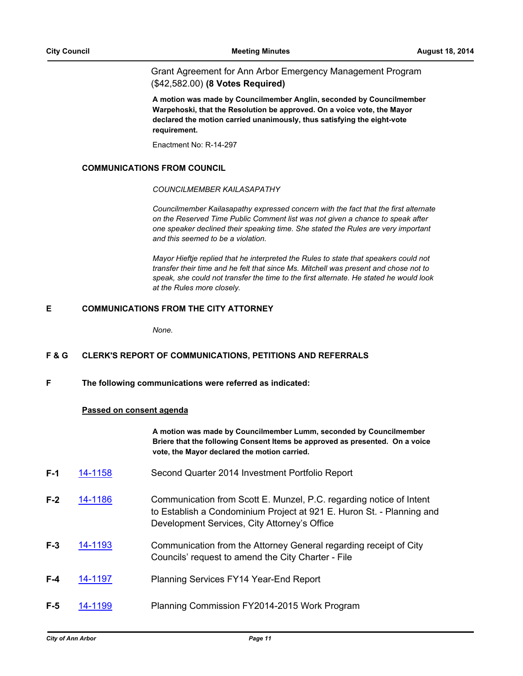Grant Agreement for Ann Arbor Emergency Management Program (\$42,582.00) **(8 Votes Required)**

**A motion was made by Councilmember Anglin, seconded by Councilmember Warpehoski, that the Resolution be approved. On a voice vote, the Mayor declared the motion carried unanimously, thus satisfying the eight-vote requirement.**

Enactment No: R-14-297

## **COMMUNICATIONS FROM COUNCIL**

#### *COUNCILMEMBER KAILASAPATHY*

*Councilmember Kailasapathy expressed concern with the fact that the first alternate on the Reserved Time Public Comment list was not given a chance to speak after one speaker declined their speaking time. She stated the Rules are very important and this seemed to be a violation.*

*Mayor Hieftje replied that he interpreted the Rules to state that speakers could not transfer their time and he felt that since Ms. Mitchell was present and chose not to speak, she could not transfer the time to the first alternate. He stated he would look at the Rules more closely.*

## **E COMMUNICATIONS FROM THE CITY ATTORNEY**

*None.*

## **F & G CLERK'S REPORT OF COMMUNICATIONS, PETITIONS AND REFERRALS**

**F The following communications were referred as indicated:**

## **Passed on consent agenda**

**A motion was made by Councilmember Lumm, seconded by Councilmember Briere that the following Consent Items be approved as presented. On a voice vote, the Mayor declared the motion carried.**

- **F-1** [14-1158](http://a2gov.legistar.com/gateway.aspx/matter.aspx?key=12635) Second Quarter 2014 Investment Portfolio Report
- **F-2** [14-1186](http://a2gov.legistar.com/gateway.aspx/matter.aspx?key=12663) Communication from Scott E. Munzel, P.C. regarding notice of Intent to Establish a Condominium Project at 921 E. Huron St. - Planning and Development Services, City Attorney's Office
- **F-3** [14-1193](http://a2gov.legistar.com/gateway.aspx/matter.aspx?key=12670) Communication from the Attorney General regarding receipt of City Councils' request to amend the City Charter - File
- **F-4** [14-1197](http://a2gov.legistar.com/gateway.aspx/matter.aspx?key=12674) Planning Services FY14 Year-End Report
- **F-5** [14-1199](http://a2gov.legistar.com/gateway.aspx/matter.aspx?key=12676) Planning Commission FY2014-2015 Work Program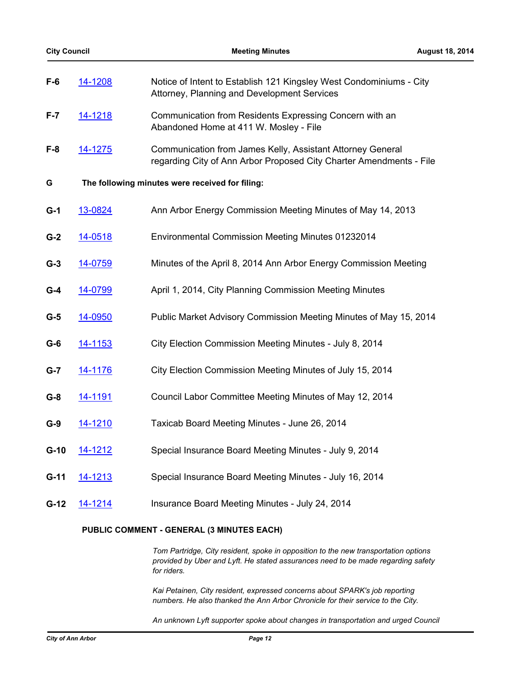| <b>City Council</b> |                                                 | <b>Meeting Minutes</b>                                                                                                            | <b>August 18, 2014</b> |  |  |
|---------------------|-------------------------------------------------|-----------------------------------------------------------------------------------------------------------------------------------|------------------------|--|--|
| $F-6$               | 14-1208                                         | Notice of Intent to Establish 121 Kingsley West Condominiums - City<br>Attorney, Planning and Development Services                |                        |  |  |
| $F - 7$             | 14-1218                                         | Communication from Residents Expressing Concern with an<br>Abandoned Home at 411 W. Mosley - File                                 |                        |  |  |
| $F-8$               | 14-1275                                         | Communication from James Kelly, Assistant Attorney General<br>regarding City of Ann Arbor Proposed City Charter Amendments - File |                        |  |  |
| G                   | The following minutes were received for filing: |                                                                                                                                   |                        |  |  |
| $G-1$               | 13-0824                                         | Ann Arbor Energy Commission Meeting Minutes of May 14, 2013                                                                       |                        |  |  |
| $G-2$               | 14-0518                                         | <b>Environmental Commission Meeting Minutes 01232014</b>                                                                          |                        |  |  |
| $G-3$               | 14-0759                                         | Minutes of the April 8, 2014 Ann Arbor Energy Commission Meeting                                                                  |                        |  |  |
| $G-4$               | 14-0799                                         | April 1, 2014, City Planning Commission Meeting Minutes                                                                           |                        |  |  |
| $G-5$               | 14-0950                                         | Public Market Advisory Commission Meeting Minutes of May 15, 2014                                                                 |                        |  |  |
| $G-6$               | 14-1153                                         | City Election Commission Meeting Minutes - July 8, 2014                                                                           |                        |  |  |
| $G-7$               | <u>14-1176</u>                                  | City Election Commission Meeting Minutes of July 15, 2014                                                                         |                        |  |  |
| $G-8$               | <u>14-1191</u>                                  | Council Labor Committee Meeting Minutes of May 12, 2014                                                                           |                        |  |  |
| $G-9$               | 14-1210                                         | Taxicab Board Meeting Minutes - June 26, 2014                                                                                     |                        |  |  |
| $G-10$              | 14-1212                                         | Special Insurance Board Meeting Minutes - July 9, 2014                                                                            |                        |  |  |
| $G-11$              | 14-1213                                         | Special Insurance Board Meeting Minutes - July 16, 2014                                                                           |                        |  |  |
| $G-12$              | 14-1214                                         | Insurance Board Meeting Minutes - July 24, 2014                                                                                   |                        |  |  |
|                     |                                                 | PUBLIC COMMENT - GENERAL (3 MINUTES EACH)                                                                                         |                        |  |  |

*Tom Partridge, City resident, spoke in opposition to the new transportation options provided by Uber and Lyft. He stated assurances need to be made regarding safety for riders.*

*Kai Petainen, City resident, expressed concerns about SPARK's job reporting numbers. He also thanked the Ann Arbor Chronicle for their service to the City.*

*An unknown Lyft supporter spoke about changes in transportation and urged Council*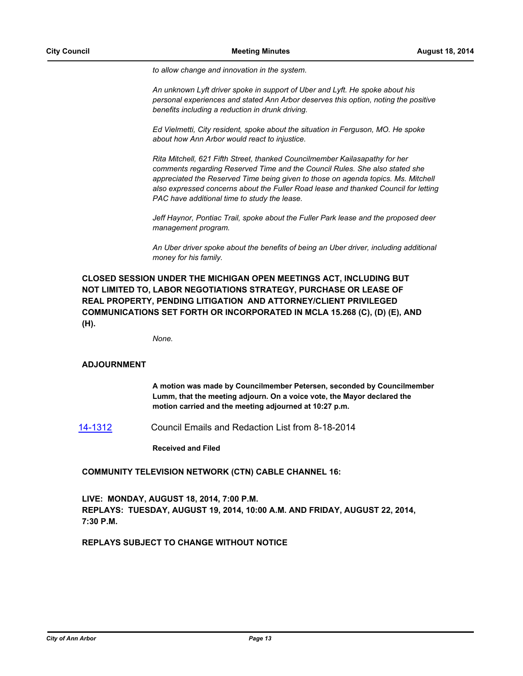*to allow change and innovation in the system.*

*An unknown Lyft driver spoke in support of Uber and Lyft. He spoke about his personal experiences and stated Ann Arbor deserves this option, noting the positive benefits including a reduction in drunk driving.*

*Ed Vielmetti, City resident, spoke about the situation in Ferguson, MO. He spoke about how Ann Arbor would react to injustice.*

*Rita Mitchell, 621 Fifth Street, thanked Councilmember Kailasapathy for her comments regarding Reserved Time and the Council Rules. She also stated she appreciated the Reserved Time being given to those on agenda topics. Ms. Mitchell also expressed concerns about the Fuller Road lease and thanked Council for letting PAC have additional time to study the lease.*

*Jeff Haynor, Pontiac Trail, spoke about the Fuller Park lease and the proposed deer management program.*

*An Uber driver spoke about the benefits of being an Uber driver, including additional money for his family.*

**CLOSED SESSION UNDER THE MICHIGAN OPEN MEETINGS ACT, INCLUDING BUT NOT LIMITED TO, LABOR NEGOTIATIONS STRATEGY, PURCHASE OR LEASE OF REAL PROPERTY, PENDING LITIGATION AND ATTORNEY/CLIENT PRIVILEGED COMMUNICATIONS SET FORTH OR INCORPORATED IN MCLA 15.268 (C), (D) (E), AND (H).**

*None.*

## **ADJOURNMENT**

**A motion was made by Councilmember Petersen, seconded by Councilmember Lumm, that the meeting adjourn. On a voice vote, the Mayor declared the motion carried and the meeting adjourned at 10:27 p.m.**

[14-1312](http://a2gov.legistar.com/gateway.aspx/matter.aspx?key=12779) Council Emails and Redaction List from 8-18-2014

**Received and Filed**

## **COMMUNITY TELEVISION NETWORK (CTN) CABLE CHANNEL 16:**

**LIVE: MONDAY, AUGUST 18, 2014, 7:00 P.M. REPLAYS: TUESDAY, AUGUST 19, 2014, 10:00 A.M. AND FRIDAY, AUGUST 22, 2014, 7:30 P.M.**

## **REPLAYS SUBJECT TO CHANGE WITHOUT NOTICE**